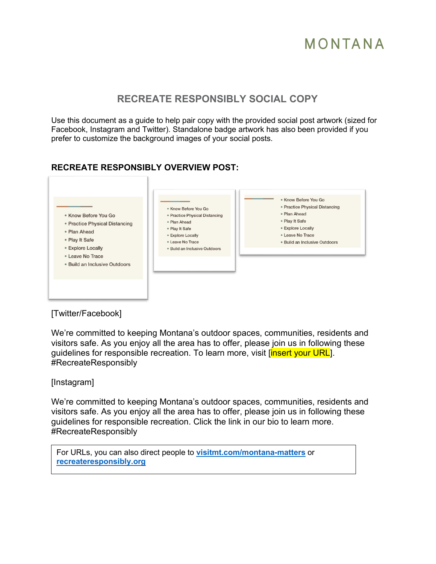## **RECREATE RESPONSIBLY SOCIAL COPY**

Use this document as a guide to help pair copy with the provided social post artwork (sized for Facebook, Instagram and Twitter). Standalone badge artwork has also been provided if you prefer to customize the background images of your social posts.

### **RECREATE RESPONSIBLY OVERVIEW POST:**



### [Twitter/Facebook]

We're committed to keeping Montana's outdoor spaces, communities, residents and visitors safe. As you enjoy all the area has to offer, please join us in following these guidelines for responsible recreation. To learn more, visit linsert your URL. #RecreateResponsibly

#### [Instagram]

We're committed to keeping Montana's outdoor spaces, communities, residents and visitors safe. As you enjoy all the area has to offer, please join us in following these guidelines for responsible recreation. Click the link in our bio to learn more. #RecreateResponsibly

For URLs, you can also direct people to **[visitmt.com/montana-matters](https://www.visitmt.com/montana-matters)** or **[recreateresponsibly.org](https://www.recreateresponsibly.org/)**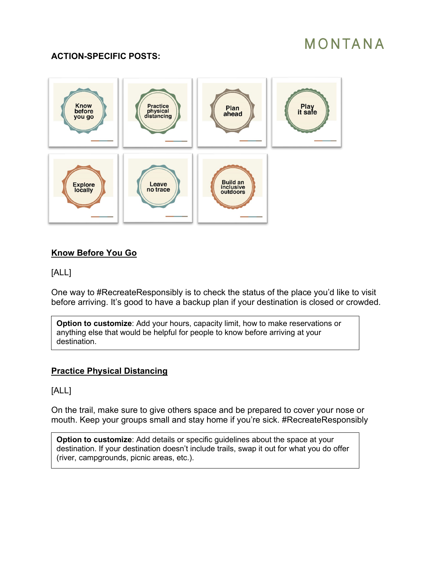### **ACTION-SPECIFIC POSTS:**



### **Know Before You Go**

### [ALL]

One way to #RecreateResponsibly is to check the status of the place you'd like to visit before arriving. It's good to have a backup plan if your destination is closed or crowded.

**Option to customize**: Add your hours, capacity limit, how to make reservations or anything else that would be helpful for people to know before arriving at your destination.

### **Practice Physical Distancing**

[ALL]

On the trail, make sure to give others space and be prepared to cover your nose or mouth. Keep your groups small and stay home if you're sick. #RecreateResponsibly

**Option to customize:** Add details or specific quidelines about the space at your destination. If your destination doesn't include trails, swap it out for what you do offer (river, campgrounds, picnic areas, etc.).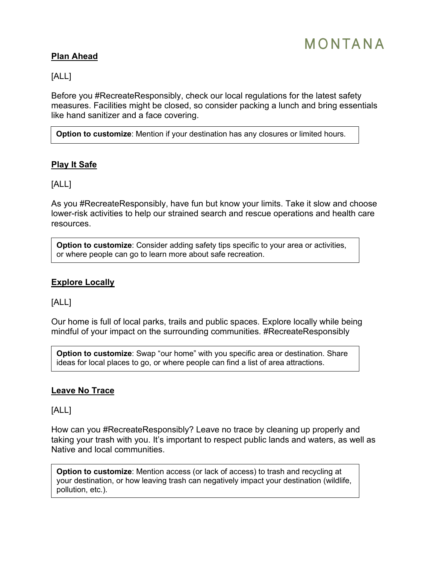### **Plan Ahead**

[ALL]

Before you #RecreateResponsibly, check our local regulations for the latest safety measures. Facilities might be closed, so consider packing a lunch and bring essentials like hand sanitizer and a face covering.

**Option to customize**: Mention if your destination has any closures or limited hours.

### **Play It Safe**

[ALL]

As you #RecreateResponsibly, have fun but know your limits. Take it slow and choose lower-risk activities to help our strained search and rescue operations and health care resources.

**Option to customize:** Consider adding safety tips specific to your area or activities, or where people can go to learn more about safe recreation.

#### **Explore Locally**

[ALL]

Our home is full of local parks, trails and public spaces. Explore locally while being mindful of your impact on the surrounding communities. #RecreateResponsibly

**Option to customize**: Swap "our home" with you specific area or destination. Share ideas for local places to go, or where people can find a list of area attractions.

#### **Leave No Trace**

[ALL]

How can you #RecreateResponsibly? Leave no trace by cleaning up properly and taking your trash with you. It's important to respect public lands and waters, as well as Native and local communities.

**Option to customize**: Mention access (or lack of access) to trash and recycling at your destination, or how leaving trash can negatively impact your destination (wildlife, pollution, etc.).